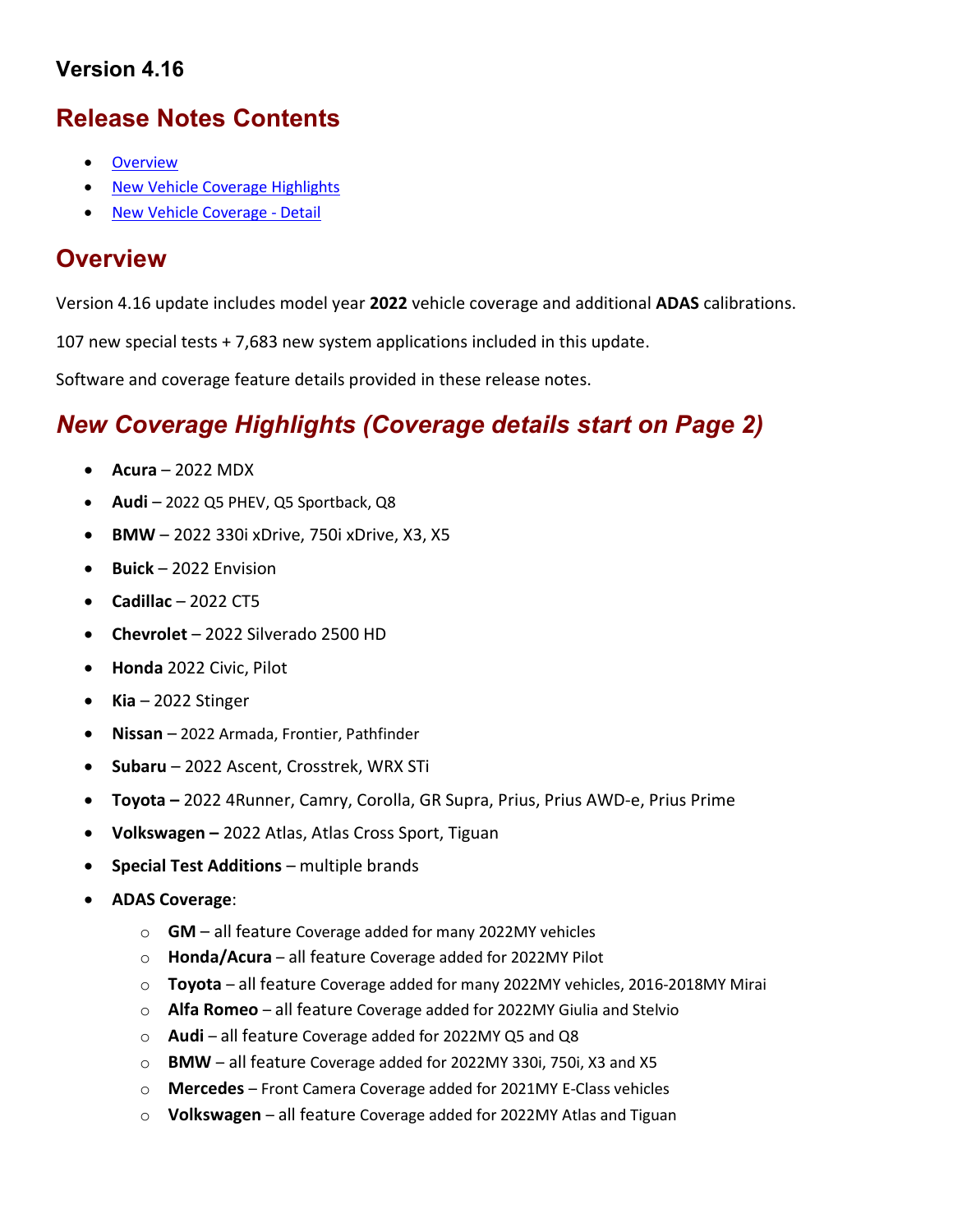### Version 4.16

## Release Notes Contents

- **Overview**
- New Vehicle Coverage Highlights
- New Vehicle Coverage Detail

### **Overview**

Version 4.16 update includes model year 2022 vehicle coverage and additional ADAS calibrations.

107 new special tests + 7,683 new system applications included in this update.

Software and coverage feature details provided in these release notes.

# New Coverage Highlights (Coverage details start on Page 2)

- $\bullet$  Acura 2022 MDX
- $\bullet$  Audi 2022 Q5 PHEV, Q5 Sportback, Q8
- BMW 2022 330i xDrive, 750i xDrive, X3, X5
- $\bullet$  Buick 2022 Envision
- $\bullet$  Cadillac 2022 CT5
- Chevrolet 2022 Silverado 2500 HD
- Honda 2022 Civic, Pilot
- $\bullet$  Kia 2022 Stinger
- Nissan 2022 Armada, Frontier, Pathfinder
- Subaru 2022 Ascent, Crosstrek, WRX STi
- Toyota 2022 4Runner, Camry, Corolla, GR Supra, Prius, Prius AWD-e, Prius Prime
- Volkswagen 2022 Atlas, Atlas Cross Sport, Tiguan
- **•** Special Test Additions multiple brands
- ADAS Coverage:
	- $\circ$  GM all feature Coverage added for many 2022MY vehicles
	- o Honda/Acura all feature Coverage added for 2022MY Pilot
	- o Toyota all feature Coverage added for many 2022MY vehicles, 2016-2018MY Mirai
	- o Alfa Romeo all feature Coverage added for 2022MY Giulia and Stelvio
	- o Audi all feature Coverage added for 2022MY Q5 and Q8
	- o BMW all feature Coverage added for 2022MY 330i, 750i, X3 and X5
	- o Mercedes Front Camera Coverage added for 2021MY E-Class vehicles
	- $\circ$  Volkswagen all feature Coverage added for 2022MY Atlas and Tiguan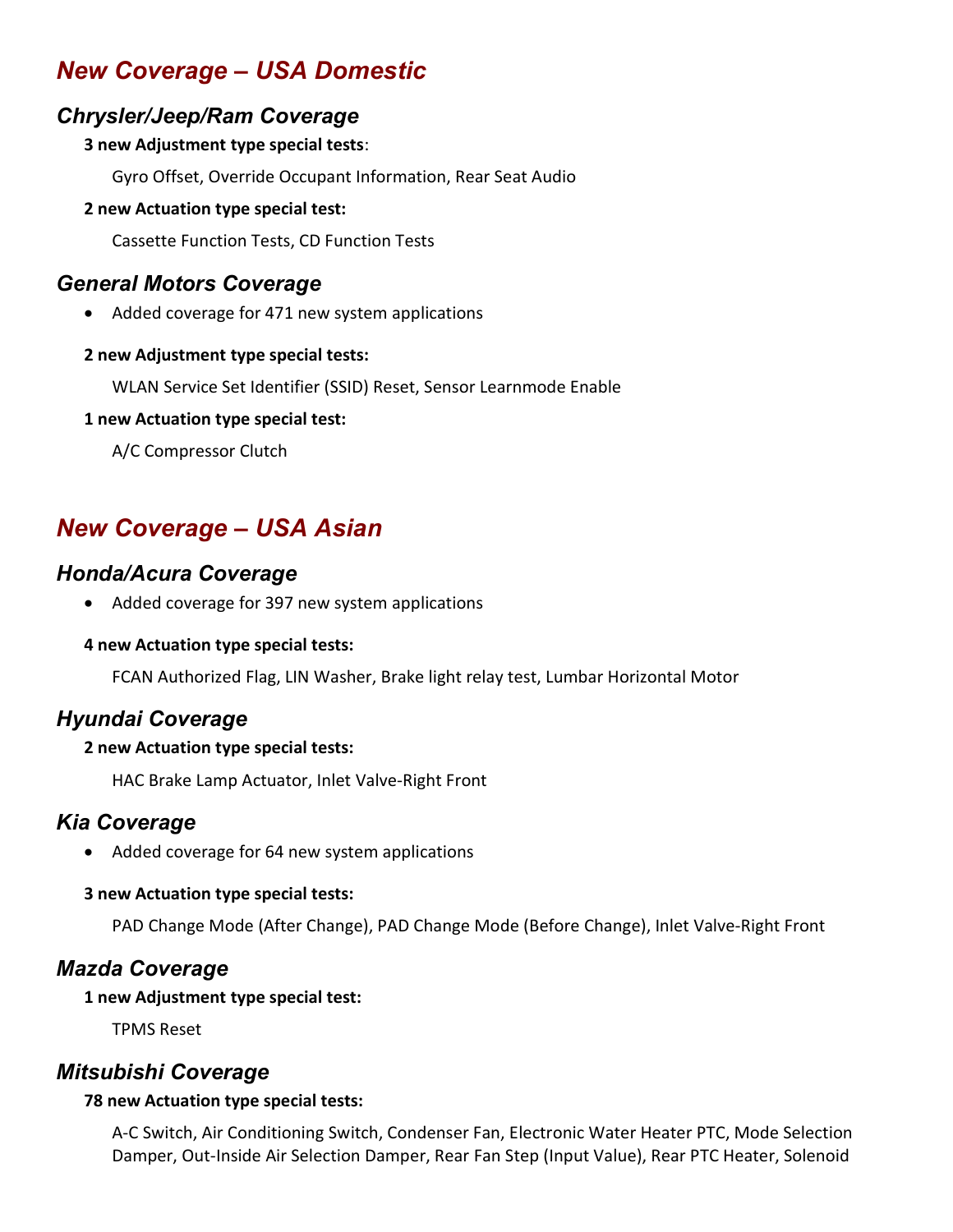# New Coverage – USA Domestic

#### Chrysler/Jeep/Ram Coverage

#### 3 new Adjustment type special tests:

Gyro Offset, Override Occupant Information, Rear Seat Audio

#### 2 new Actuation type special test:

Cassette Function Tests, CD Function Tests

### General Motors Coverage

Added coverage for 471 new system applications

#### 2 new Adjustment type special tests:

WLAN Service Set Identifier (SSID) Reset, Sensor Learnmode Enable

#### 1 new Actuation type special test:

A/C Compressor Clutch

# New Coverage – USA Asian

### Honda/Acura Coverage

• Added coverage for 397 new system applications

#### 4 new Actuation type special tests:

FCAN Authorized Flag, LIN Washer, Brake light relay test, Lumbar Horizontal Motor

### Hyundai Coverage

#### 2 new Actuation type special tests:

HAC Brake Lamp Actuator, Inlet Valve-Right Front

### Kia Coverage

Added coverage for 64 new system applications

#### 3 new Actuation type special tests:

PAD Change Mode (After Change), PAD Change Mode (Before Change), Inlet Valve-Right Front

### Mazda Coverage

#### 1 new Adjustment type special test:

TPMS Reset

### Mitsubishi Coverage

#### 78 new Actuation type special tests:

A-C Switch, Air Conditioning Switch, Condenser Fan, Electronic Water Heater PTC, Mode Selection Damper, Out-Inside Air Selection Damper, Rear Fan Step (Input Value), Rear PTC Heater, Solenoid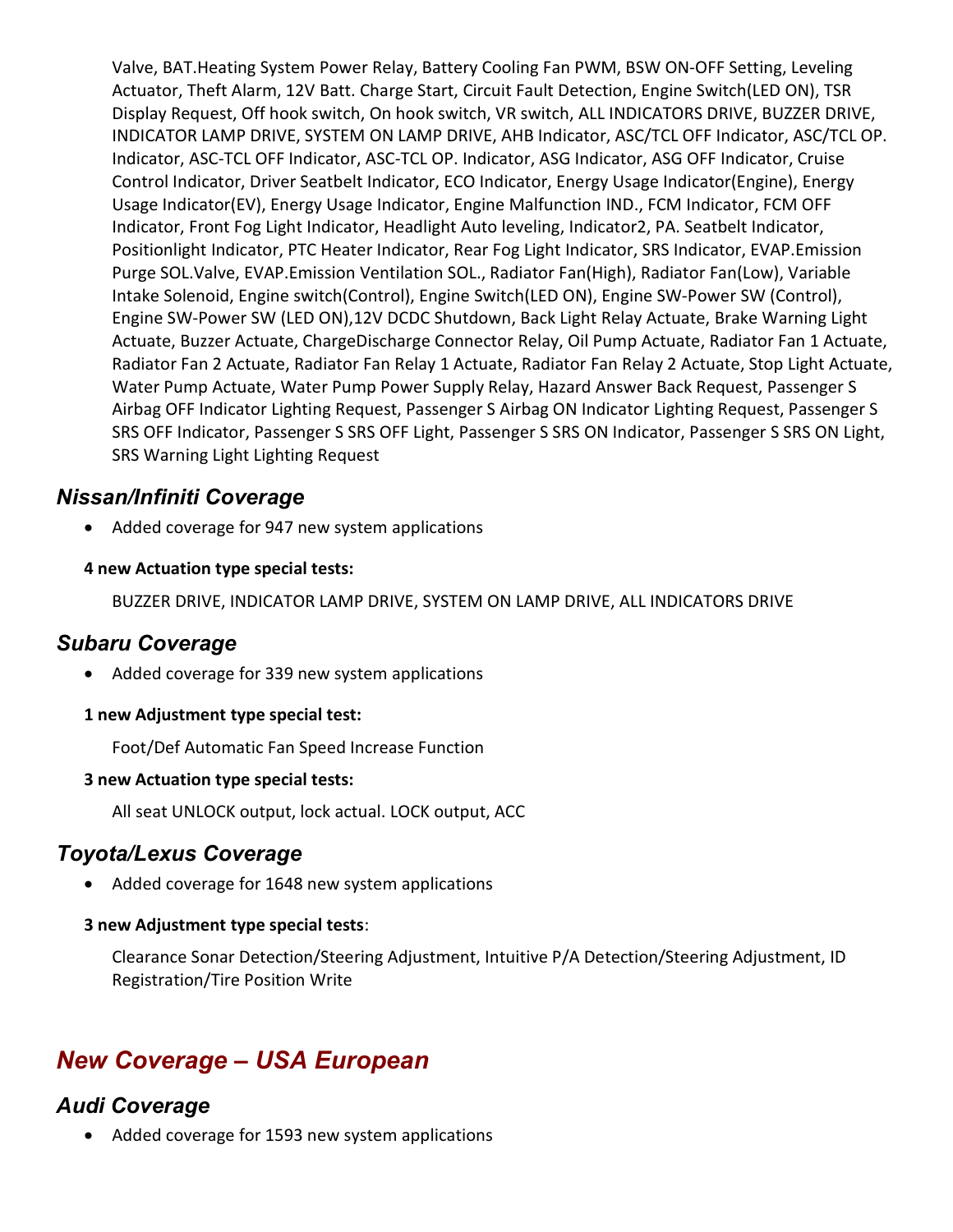Valve, BAT.Heating System Power Relay, Battery Cooling Fan PWM, BSW ON-OFF Setting, Leveling Actuator, Theft Alarm, 12V Batt. Charge Start, Circuit Fault Detection, Engine Switch(LED ON), TSR Display Request, Off hook switch, On hook switch, VR switch, ALL INDICATORS DRIVE, BUZZER DRIVE, INDICATOR LAMP DRIVE, SYSTEM ON LAMP DRIVE, AHB Indicator, ASC/TCL OFF Indicator, ASC/TCL OP. Indicator, ASC-TCL OFF Indicator, ASC-TCL OP. Indicator, ASG Indicator, ASG OFF Indicator, Cruise Control Indicator, Driver Seatbelt Indicator, ECO Indicator, Energy Usage Indicator(Engine), Energy Usage Indicator(EV), Energy Usage Indicator, Engine Malfunction IND., FCM Indicator, FCM OFF Indicator, Front Fog Light Indicator, Headlight Auto leveling, Indicator2, PA. Seatbelt Indicator, Positionlight Indicator, PTC Heater Indicator, Rear Fog Light Indicator, SRS Indicator, EVAP.Emission Purge SOL.Valve, EVAP.Emission Ventilation SOL., Radiator Fan(High), Radiator Fan(Low), Variable Intake Solenoid, Engine switch(Control), Engine Switch(LED ON), Engine SW-Power SW (Control), Engine SW-Power SW (LED ON),12V DCDC Shutdown, Back Light Relay Actuate, Brake Warning Light Actuate, Buzzer Actuate, ChargeDischarge Connector Relay, Oil Pump Actuate, Radiator Fan 1 Actuate, Radiator Fan 2 Actuate, Radiator Fan Relay 1 Actuate, Radiator Fan Relay 2 Actuate, Stop Light Actuate, Water Pump Actuate, Water Pump Power Supply Relay, Hazard Answer Back Request, Passenger S Airbag OFF Indicator Lighting Request, Passenger S Airbag ON Indicator Lighting Request, Passenger S SRS OFF Indicator, Passenger S SRS OFF Light, Passenger S SRS ON Indicator, Passenger S SRS ON Light, SRS Warning Light Lighting Request

#### Nissan/Infiniti Coverage

Added coverage for 947 new system applications

#### 4 new Actuation type special tests:

BUZZER DRIVE, INDICATOR LAMP DRIVE, SYSTEM ON LAMP DRIVE, ALL INDICATORS DRIVE

### Subaru Coverage

• Added coverage for 339 new system applications

#### 1 new Adjustment type special test:

Foot/Def Automatic Fan Speed Increase Function

#### 3 new Actuation type special tests:

All seat UNLOCK output, lock actual. LOCK output, ACC

### Toyota/Lexus Coverage

• Added coverage for 1648 new system applications

#### 3 new Adjustment type special tests:

Clearance Sonar Detection/Steering Adjustment, Intuitive P/A Detection/Steering Adjustment, ID Registration/Tire Position Write

## New Coverage – USA European

### Audi Coverage

• Added coverage for 1593 new system applications